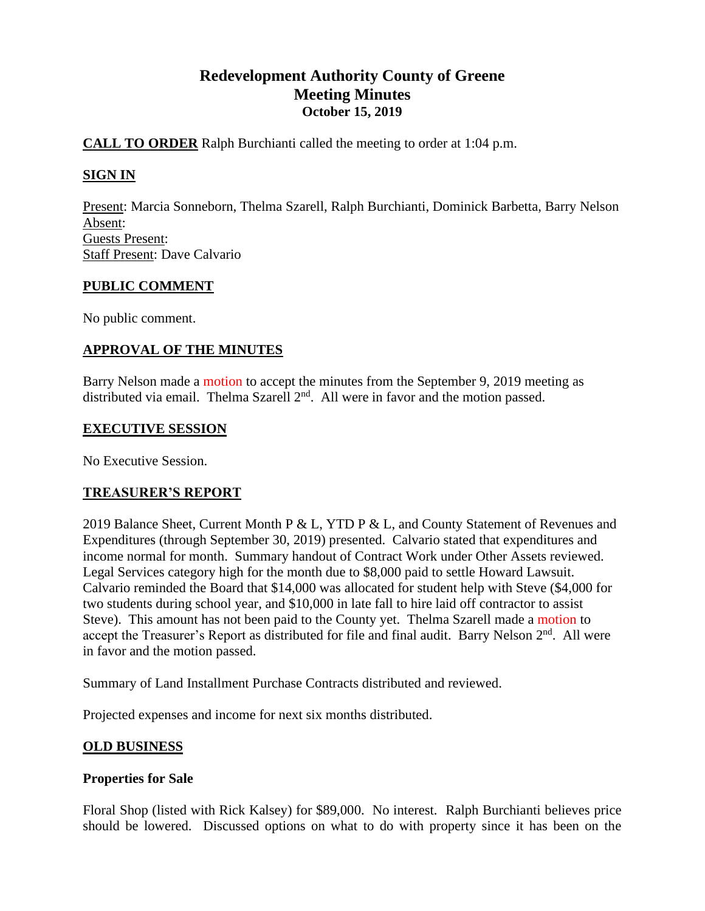# **Redevelopment Authority County of Greene Meeting Minutes October 15, 2019**

## **CALL TO ORDER** Ralph Burchianti called the meeting to order at 1:04 p.m.

# **SIGN IN**

Present: Marcia Sonneborn, Thelma Szarell, Ralph Burchianti, Dominick Barbetta, Barry Nelson Absent: Guests Present: Staff Present: Dave Calvario

### **PUBLIC COMMENT**

No public comment.

## **APPROVAL OF THE MINUTES**

Barry Nelson made a motion to accept the minutes from the September 9, 2019 meeting as distributed via email. Thelma Szarell  $2<sup>nd</sup>$ . All were in favor and the motion passed.

### **EXECUTIVE SESSION**

No Executive Session.

### **TREASURER'S REPORT**

2019 Balance Sheet, Current Month P & L, YTD P & L, and County Statement of Revenues and Expenditures (through September 30, 2019) presented. Calvario stated that expenditures and income normal for month. Summary handout of Contract Work under Other Assets reviewed. Legal Services category high for the month due to \$8,000 paid to settle Howard Lawsuit. Calvario reminded the Board that \$14,000 was allocated for student help with Steve (\$4,000 for two students during school year, and \$10,000 in late fall to hire laid off contractor to assist Steve). This amount has not been paid to the County yet. Thelma Szarell made a motion to accept the Treasurer's Report as distributed for file and final audit. Barry Nelson 2<sup>nd</sup>. All were in favor and the motion passed.

Summary of Land Installment Purchase Contracts distributed and reviewed.

Projected expenses and income for next six months distributed.

### **OLD BUSINESS**

### **Properties for Sale**

Floral Shop (listed with Rick Kalsey) for \$89,000. No interest. Ralph Burchianti believes price should be lowered. Discussed options on what to do with property since it has been on the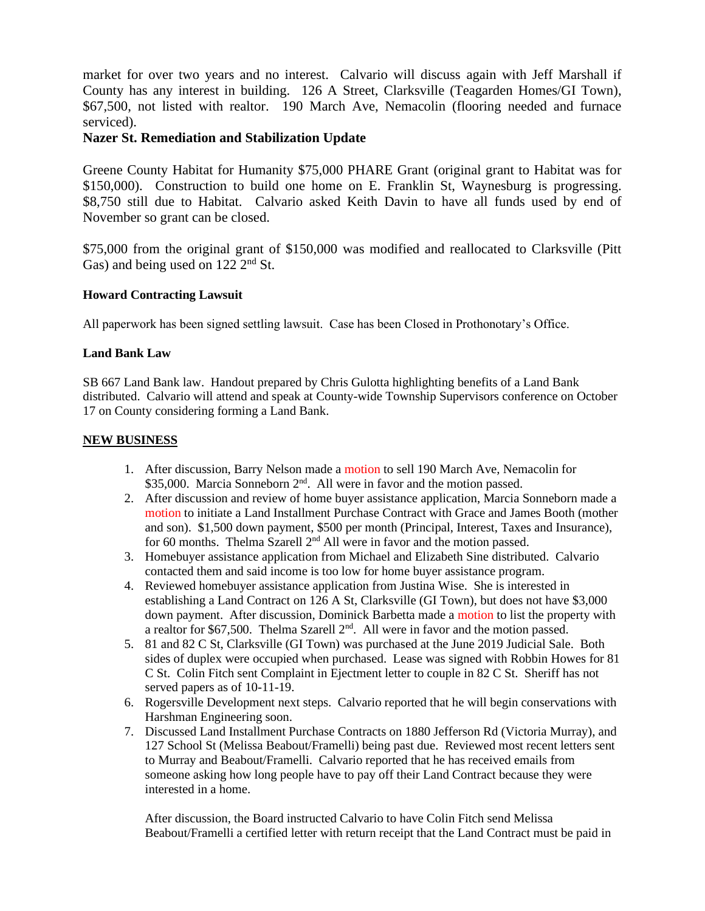market for over two years and no interest. Calvario will discuss again with Jeff Marshall if County has any interest in building. 126 A Street, Clarksville (Teagarden Homes/GI Town), \$67,500, not listed with realtor. 190 March Ave, Nemacolin (flooring needed and furnace serviced).

### **Nazer St. Remediation and Stabilization Update**

Greene County Habitat for Humanity \$75,000 PHARE Grant (original grant to Habitat was for \$150,000). Construction to build one home on E. Franklin St, Waynesburg is progressing. \$8,750 still due to Habitat. Calvario asked Keith Davin to have all funds used by end of November so grant can be closed.

\$75,000 from the original grant of \$150,000 was modified and reallocated to Clarksville (Pitt Gas) and being used on  $122 \overline{2}^{\text{nd}}$  St.

### **Howard Contracting Lawsuit**

All paperwork has been signed settling lawsuit. Case has been Closed in Prothonotary's Office.

#### **Land Bank Law**

SB 667 Land Bank law. Handout prepared by Chris Gulotta highlighting benefits of a Land Bank distributed. Calvario will attend and speak at County-wide Township Supervisors conference on October 17 on County considering forming a Land Bank.

#### **NEW BUSINESS**

- 1. After discussion, Barry Nelson made a motion to sell 190 March Ave, Nemacolin for \$35,000. Marcia Sonneborn 2<sup>nd</sup>. All were in favor and the motion passed.
- 2. After discussion and review of home buyer assistance application, Marcia Sonneborn made a motion to initiate a Land Installment Purchase Contract with Grace and James Booth (mother and son). \$1,500 down payment, \$500 per month (Principal, Interest, Taxes and Insurance), for 60 months. Thelma Szarell  $2<sup>nd</sup>$  All were in favor and the motion passed.
- 3. Homebuyer assistance application from Michael and Elizabeth Sine distributed. Calvario contacted them and said income is too low for home buyer assistance program.
- 4. Reviewed homebuyer assistance application from Justina Wise. She is interested in establishing a Land Contract on 126 A St, Clarksville (GI Town), but does not have \$3,000 down payment. After discussion, Dominick Barbetta made a motion to list the property with a realtor for \$67,500. Thelma Szarell 2<sup>nd</sup>. All were in favor and the motion passed.
- 5. 81 and 82 C St, Clarksville (GI Town) was purchased at the June 2019 Judicial Sale. Both sides of duplex were occupied when purchased. Lease was signed with Robbin Howes for 81 C St. Colin Fitch sent Complaint in Ejectment letter to couple in 82 C St. Sheriff has not served papers as of 10-11-19.
- 6. Rogersville Development next steps. Calvario reported that he will begin conservations with Harshman Engineering soon.
- 7. Discussed Land Installment Purchase Contracts on 1880 Jefferson Rd (Victoria Murray), and 127 School St (Melissa Beabout/Framelli) being past due. Reviewed most recent letters sent to Murray and Beabout/Framelli. Calvario reported that he has received emails from someone asking how long people have to pay off their Land Contract because they were interested in a home.

After discussion, the Board instructed Calvario to have Colin Fitch send Melissa Beabout/Framelli a certified letter with return receipt that the Land Contract must be paid in